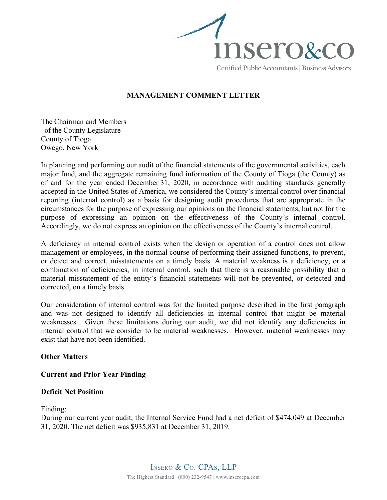

## MANAGEMENT COMMENT LETTER

The Chairman and Members of the County Legislature County of Tioga Owego, New York

In planning and performing our audit of the financial statements of the governmental activities, each major fund, and the aggregate remaining fund information of the County of Tioga (the County) as of and for the year ended December 31, 2020, in accordance with auditing standards generally accepted in the United States of America, we considered the County's internal control over financial reporting (internal control) as a basis for designing audit procedures that are appropriate in the circumstances for the purpose of expressing our opinions on the financial statements, but not for the purpose of expressing an opinion on the effectiveness of the County's internal control. Accordingly, we do not express an opinion on the effectiveness of the County's internal control.

A deficiency in internal control exists when the design or operation of a control does not allow management or employees, in the normal course of performing their assigned functions, to prevent, or detect and correct, misstatements on a timely basis. A material weakness is a deficiency, or a combination of deficiencies, in internal control, such that there is a reasonable possibility that a material misstatement of the entity's financial statements will not be prevented, or detected and corrected, on a timely basis.

Our consideration of internal control was for the limited purpose described in the first paragraph and was not designed to identify all deficiencies in internal control that might be material weaknesses. Given these limitations during our audit, we did not identify any deficiencies in internal control that we consider to be material weaknesses. However, material weaknesses may exist that have not been identified.

## Other Matters

## Current and Prior Year Finding

#### Deficit Net Position

Finding:

During our current year audit, the Internal Service Fund had a net deficit of \$474,049 at December 31, 2020. The net deficit was \$935,831 at December 31, 2019.